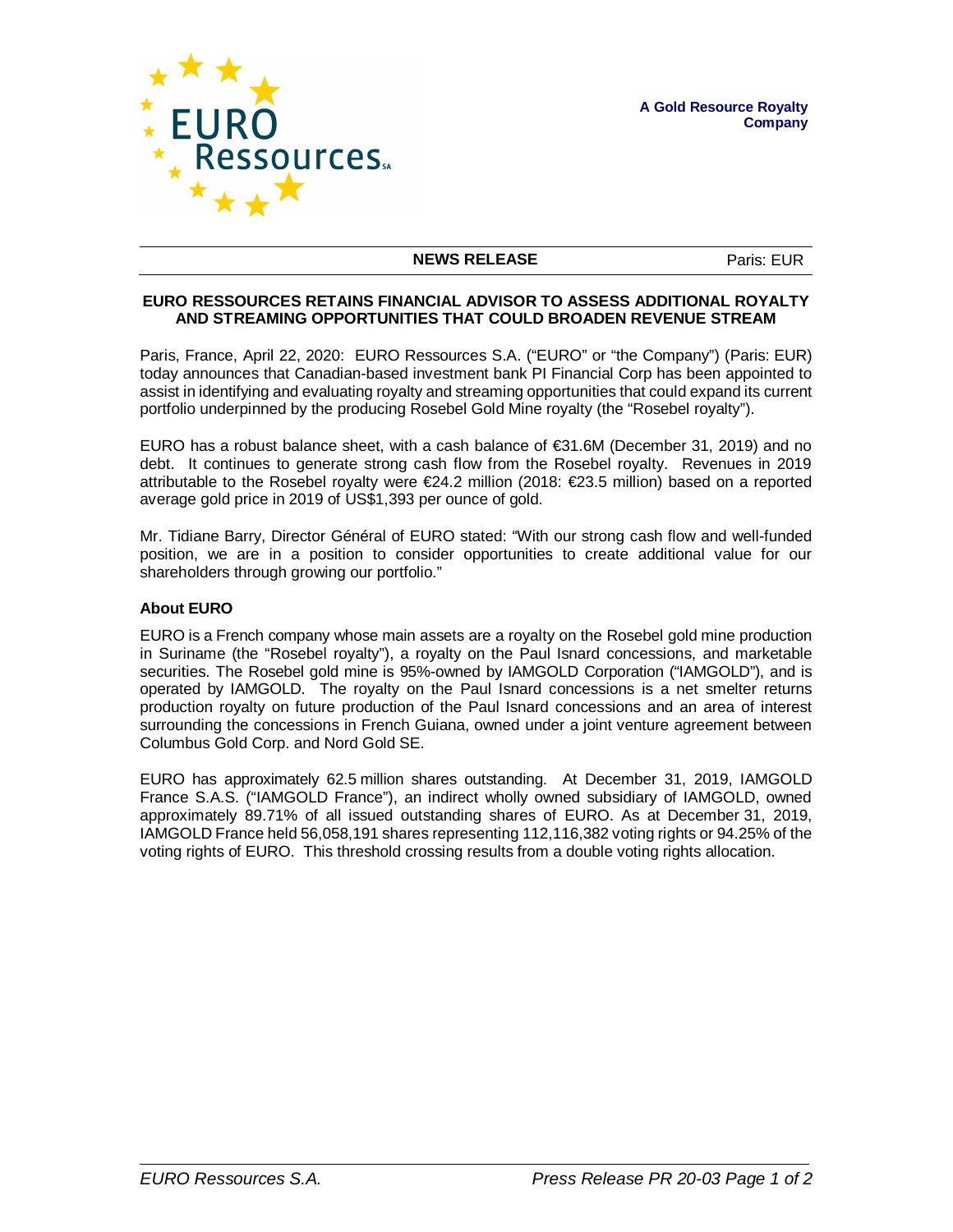

## **NEWS RELEASE** Paris: EUR

## **EURO RESSOURCES RETAINS FINANCIAL ADVISOR TO ASSESS ADDITIONAL ROYALTY AND STREAMING OPPORTUNITIES THAT COULD BROADEN REVENUE STREAM**

Paris, France, April 22, 2020: EURO Ressources S.A. ("EURO" or "the Company") (Paris: EUR) today announces that Canadian-based investment bank PI Financial Corp has been appointed to assist in identifying and evaluating royalty and streaming opportunities that could expand its current portfolio underpinned by the producing Rosebel Gold Mine royalty (the "Rosebel royalty").

EURO has a robust balance sheet, with a cash balance of  $\epsilon$ 31.6M (December 31, 2019) and no debt. It continues to generate strong cash flow from the Rosebel royalty. Revenues in 2019 attributable to the Rosebel royalty were €24.2 million (2018: €23.5 million) based on a reported average gold price in 2019 of US\$1,393 per ounce of gold.

Mr. Tidiane Barry, Director Général of EURO stated: "With our strong cash flow and well-funded position, we are in a position to consider opportunities to create additional value for our shareholders through growing our portfolio."

## **About EURO**

EURO is a French company whose main assets are a royalty on the Rosebel gold mine production in Suriname (the "Rosebel royalty"), a royalty on the Paul Isnard concessions, and marketable securities. The Rosebel gold mine is 95%-owned by IAMGOLD Corporation ("IAMGOLD"), and is operated by IAMGOLD. The royalty on the Paul Isnard concessions is a net smelter returns production royalty on future production of the Paul Isnard concessions and an area of interest surrounding the concessions in French Guiana, owned under a joint venture agreement between Columbus Gold Corp. and Nord Gold SE.

EURO has approximately 62.5 million shares outstanding. At December 31, 2019, IAMGOLD France S.A.S. ("IAMGOLD France"), an indirect wholly owned subsidiary of IAMGOLD, owned approximately 89.71% of all issued outstanding shares of EURO. As at December 31, 2019, IAMGOLD France held 56,058,191 shares representing 112,116,382 voting rights or 94.25% of the voting rights of EURO. This threshold crossing results from a double voting rights allocation.